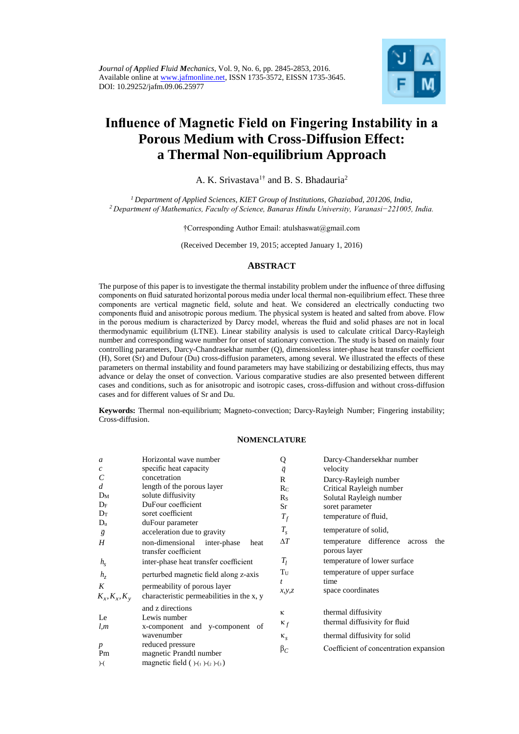

# **Influence of Magnetic Field on Fingering Instability in a Porous Medium with Cross-Diffusion Effect: a Thermal Non-equilibrium Approach**

A. K. Srivastava<sup>1†</sup> and B. S. Bhadauria<sup>2</sup>

*<sup>1</sup>Department of Applied Sciences, KIET Group of Institutions, Ghaziabad, 201206, India, <sup>2</sup>Department of Mathematics, Faculty of Science, Banaras Hindu University, Varanasi−221005, India.*

†Corresponding Author Email: atulshaswat@gmail.com

(Received December 19, 2015; accepted January 1, 2016)

## **ABSTRACT**

The purpose of this paper is to investigate the thermal instability problem under the influence of three diffusing components on fluid saturated horizontal porous media under local thermal non-equilibrium effect. These three components are vertical magnetic field, solute and heat. We considered an electrically conducting two components fluid and anisotropic porous medium. The physical system is heated and salted from above. Flow in the porous medium is characterized by Darcy model, whereas the fluid and solid phases are not in local thermodynamic equilibrium (LTNE). Linear stability analysis is used to calculate critical Darcy-Rayleigh number and corresponding wave number for onset of stationary convection. The study is based on mainly four controlling parameters, Darcy-Chandrasekhar number (Q), dimensionless inter-phase heat transfer coefficient (H), Soret (Sr) and Dufour (Du) cross-diffusion parameters, among several. We illustrated the effects of these parameters on thermal instability and found parameters may have stabilizing or destabilizing effects, thus may advance or delay the onset of convection. Various comparative studies are also presented between different cases and conditions, such as for anisotropic and isotropic cases, cross-diffusion and without cross-diffusion cases and for different values of Sr and Du.

**Keywords:** Thermal non-equilibrium; Magneto-convection; Darcy-Rayleigh Number; Fingering instability; Cross-diffusion.

#### **NOMENCLATURE**

| $\mathfrak a$                    | Horizontal wave number                                                             | Q                             | Darcy-Chandersekhar number                                 |
|----------------------------------|------------------------------------------------------------------------------------|-------------------------------|------------------------------------------------------------|
| $\boldsymbol{c}$                 | specific heat capacity                                                             | $\vec{q}$                     | velocity                                                   |
| C                                | concetration                                                                       | $\mathbb{R}$                  | Darcy-Rayleigh number                                      |
| $\overline{d}$                   | length of the porous layer                                                         | $R_C$                         | Critical Rayleigh number                                   |
| $D_M$                            | solute diffusivity                                                                 | $R_{S}$                       | Solutal Rayleigh number                                    |
| $D_F$                            | DuFour coefficient                                                                 | Sr                            | soret parameter                                            |
| $D_T$                            | soret coefficient                                                                  | $T_f$                         | temperature of fluid,                                      |
| $D_u$<br>$\vec{g}$               | duFour parameter<br>acceleration due to gravity                                    | $T_{s}$                       | temperature of solid,                                      |
| Н                                | non-dimensional inter-phase<br>heat<br>transfer coefficient                        | $\Delta T$                    | difference<br>temperature<br>the<br>across<br>porous layer |
| $h_{\rm s}$                      | inter-phase heat transfer coefficient                                              | $T_l$                         | temperature of lower surface                               |
| $h_{\tau}$                       | perturbed magnetic field along z-axis                                              | $\rm T_{U}$<br>$\mathfrak{t}$ | temperature of upper surface<br>time                       |
| K                                | permeability of porous layer<br>characteristic permeabilities in the x, y          | x, y, z                       | space coordinates                                          |
| $K_x, K_x, K_y$                  |                                                                                    |                               |                                                            |
| Le                               | and z directions<br>Lewis number                                                   | ĸ                             | thermal diffusivity                                        |
| l,m                              | x-component and y-component of                                                     | $\kappa_f$                    | thermal diffusivity for fluid                              |
|                                  | wavenumber                                                                         | $\kappa_{s}$                  | thermal diffusivity for solid                              |
| $\boldsymbol{p}$<br>Pm<br>$)-()$ | reduced pressure<br>magnetic Prandtl number<br>magnetic field $( )-(1 )-(2 )-(3 )$ | $\beta_C$                     | Coefficient of concentration expansion                     |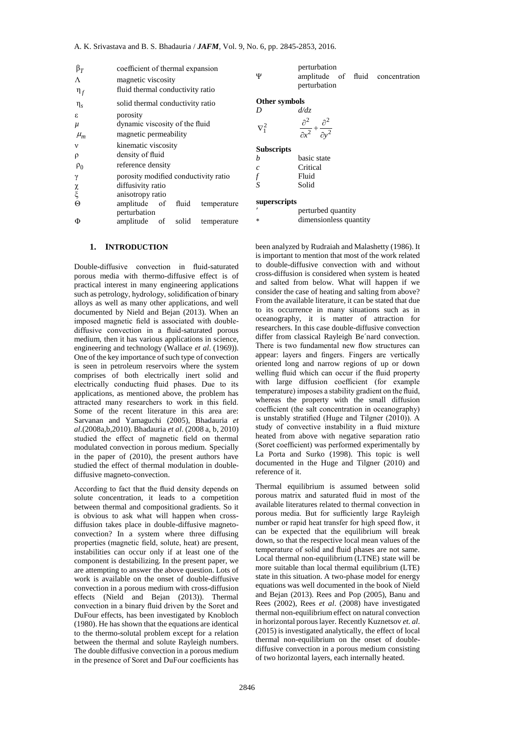| $\beta_T$              | coefficient of thermal expansion        | perturbation                                                                        |
|------------------------|-----------------------------------------|-------------------------------------------------------------------------------------|
| $\Lambda$              | magnetic viscosity                      | Ψ<br>amplitude of fluid concentration                                               |
| $\eta_f$               | fluid thermal conductivity ratio        | perturbation                                                                        |
| $\eta_s$               | solid thermal conductivity ratio        | Other symbols                                                                       |
| ε                      | porosity                                | d/dz<br>D                                                                           |
| $\mu$                  | dynamic viscosity of the fluid          | $\frac{\partial^2}{\partial x^2} + \frac{\partial^2}{\partial y^2}$<br>$\nabla_1^2$ |
| $\mu_m$                | magnetic permeability                   |                                                                                     |
| $\mathbf{v}$           | kinematic viscosity                     | <b>Subscripts</b>                                                                   |
| $\rho$                 | density of fluid                        | basic state<br>h                                                                    |
| $\rho_0$               | reference density                       | Critical<br>$\mathcal{C}$                                                           |
| $\gamma$               | porosity modified conductivity ratio    | Fluid                                                                               |
|                        | diffusivity ratio                       | S<br>Solid                                                                          |
| $\underset{\xi}{\chi}$ | anisotropy ratio                        |                                                                                     |
| $\Theta$               | amplitude of<br>fluid<br>temperature    | superscripts                                                                        |
|                        | perturbation                            | perturbed quantity                                                                  |
| Φ                      | amplitude<br>solid<br>of<br>temperature | dimensionless quantity<br>*                                                         |
|                        |                                         |                                                                                     |

## **1. INTRODUCTION**

B<sub>T</sub><br>
or coefficient of thermal expansion<br>
or magnetic visocsity<br>
magnetic visocsity<br>
fluid thermal conductivity ratio<br>
condition-<br>
going distributed by the fluid<br> *H<sub>PH</sub>*<br>
angenetic visocsity of the fluid<br>
or dynamic vis Double-diffusive convection in fluid-saturated porous media with thermo-diffusive effect is of practical interest in many engineering applications such as petrology, hydrology, solidification of binary alloys as well as many other applications, and well documented by Nield and Bejan (2013). When an imposed magnetic field is associated with doublediffusive convection in a fluid-saturated porous medium, then it has various applications in science, engineering and technology (Wallace *et al*. (1969)). One of the key importance of such type of convection is seen in petroleum reservoirs where the system comprises of both electrically inert solid and electrically conducting fluid phases. Due to its applications, as mentioned above, the problem has attracted many researchers to work in this field. Some of the recent literature in this area are: Sarvanan and Yamaguchi (2005), Bhadauria *et al*.(2008a,b,2010). Bhadauria *et al*. (2008 a, b, 2010) studied the effect of magnetic field on thermal modulated convection in porous medium. Specially in the paper of (2010), the present authors have studied the effect of thermal modulation in doublediffusive magneto-convection.

According to fact that the fluid density depends on solute concentration, it leads to a competition between thermal and compositional gradients. So it is obvious to ask what will happen when crossdiffusion takes place in double-diffusive magnetoconvection? In a system where three diffusing properties (magnetic field, solute, heat) are present, instabilities can occur only if at least one of the component is destabilizing. In the present paper, we are attempting to answer the above question. Lots of work is available on the onset of double-diffusive convection in a porous medium with cross-diffusion effects (Nield and Bejan (2013)). Thermal convection in a binary fluid driven by the Soret and DuFour effects, has been investigated by Knobloch (1980). He has shown that the equations are identical to the thermo-solutal problem except for a relation between the thermal and solute Rayleigh numbers. The double diffusive convection in a porous medium in the presence of Soret and DuFour coefficients has

been analyzed by Rudraiah and Malashetty (1986). It is important to mention that most of the work related to double-diffusive convection with and without cross-diffusion is considered when system is heated and salted from below. What will happen if we consider the case of heating and salting from above? From the available literature, it can be stated that due to its occurrence in many situations such as in oceanography, it is matter of attraction for researchers. In this case double-diffusive convection differ from classical Rayleigh Be´nard convection. There is two fundamental new flow structures can appear: layers and fingers. Fingers are vertically oriented long and narrow regions of up or down welling fluid which can occur if the fluid property with large diffusion coefficient (for example temperature) imposes a stability gradient on the fluid, whereas the property with the small diffusion coefficient (the salt concentration in oceanography) is unstably stratified (Huge and Tilgner (2010)). A study of convective instability in a fluid mixture heated from above with negative separation ratio (Soret coefficient) was performed experimentally by La Porta and Surko (1998). This topic is well documented in the Huge and Tilgner (2010) and reference of it.

Thermal equilibrium is assumed between solid porous matrix and saturated fluid in most of the available literatures related to thermal convection in porous media. But for sufficiently large Rayleigh number or rapid heat transfer for high speed flow, it can be expected that the equilibrium will break down, so that the respective local mean values of the temperature of solid and fluid phases are not same. Local thermal non-equilibrium (LTNE) state will be more suitable than local thermal equilibrium (LTE) state in this situation. A two-phase model for energy equations was well documented in the book of Nield and Bejan (2013). Rees and Pop (2005), Banu and Rees (2002), Rees *et al*. (2008) have investigated thermal non-equilibrium effect on natural convection in horizontal porous layer. Recently Kuznetsov *et. al*. (2015) is investigated analytically, the effect of local thermal non-equilibrium on the onset of doublediffusive convection in a porous medium consisting of two horizontal layers, each internally heated.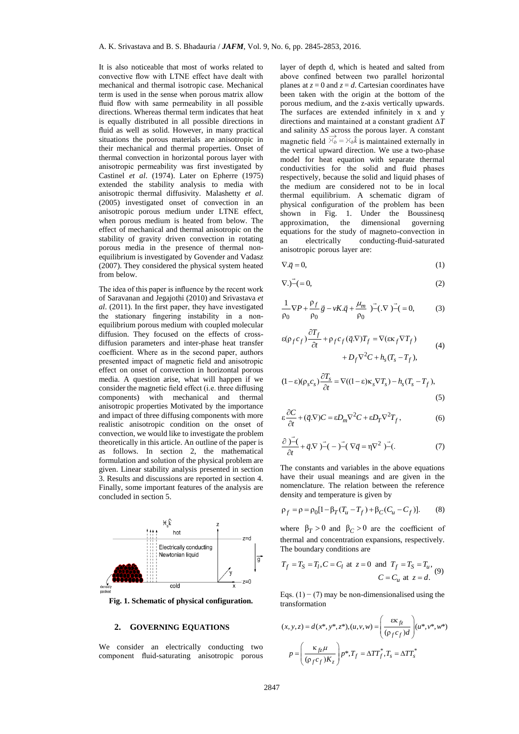It is also noticeable that most of works related to convective flow with LTNE effect have dealt with mechanical and thermal isotropic case. Mechanical term is used in the sense when porous matrix allow fluid flow with same permeability in all possible directions. Whereas thermal term indicates that heat is equally distributed in all possible directions in fluid as well as solid. However, in many practical situations the porous materials are anisotropic in their mechanical and thermal properties. Onset of thermal convection in horizontal porous layer with anisotropic permeability was first investigated by Castinel *et al*. (1974). Later on Epherre (1975) extended the stability analysis to media with anisotropic thermal diffusivity. Malashetty *et al*. (2005) investigated onset of convection in an anisotropic porous medium under LTNE effect, when porous medium is heated from below. The effect of mechanical and thermal anisotropic on the stability of gravity driven convection in rotating porous media in the presence of thermal nonequilibrium is investigated by Govender and Vadasz (2007). They considered the physical system heated from below.

The idea of this paper is influence by the recent work of Saravanan and Jegajothi (2010) and Srivastava *et al*. (2011). In the first paper, they have investigated the stationary fingering instability in a nonequilibrium porous medium with coupled molecular diffusion. They focused on the effects of crossdiffusion parameters and inter-phase heat transfer coefficient. Where as in the second paper, authors presented impact of magnetic field and anisotropic effect on onset of convection in horizontal porous media. A question arise, what will happen if we consider the magnetic field effect (i.e. three diffusing components) with mechanical and thermal anisotropic properties Motivated by the importance and impact of three diffusing components with more realistic anisotropic condition on the onset of convection, we would like to investigate the problem theoretically in this article. An outline of the paper is as follows. In section 2, the mathematical formulation and solution of the physical problem are given. Linear stability analysis presented in section 3. Results and discussions are reported in section 4. Finally, some important features of the analysis are concluded in section 5.



**Fig. 1. Schematic of physical configuration.**

#### **2. GOVERNING EQUATIONS**

We consider an electrically conducting two component fluid-saturating anisotropic porous

layer of depth d, which is heated and salted from above confined between two parallel horizontal planes at  $z = 0$  and  $z = d$ . Cartesian coordinates have been taken with the origin at the bottom of the porous medium, and the z-axis vertically upwards. The surfaces are extended infinitely in x and y directions and maintained at a constant gradient ∆*T* and salinity ∆*S* across the porous layer. A constant magnetic field  $\overrightarrow{\mathcal{K}}_b = \mathcal{K}_b \hat{k}$  is maintained externally in the vertical upward direction. We use a two-phase model for heat equation with separate thermal conductivities for the solid and fluid phases respectively, because the solid and liquid phases of the medium are considered not to be in local thermal equilibrium. A schematic digram of physical configuration of the problem has been shown in Fig. 1. Under the Boussinesq approximation, the dimensional governing equations for the study of magneto-convection in an electrically conducting-fluid-saturated anisotropic porous layer are:

$$
\nabla \cdot \vec{q} = 0,\tag{1}
$$

$$
\nabla. - (=0,\t\t(2)
$$

$$
\frac{1}{\rho_0} \nabla P + \frac{\rho_f}{\rho_0} \vec{g} - vK.\vec{q} + \frac{\mu_m}{\rho_0} \vec{y} - (\nabla \vec{y}) - (\rho_0) \tag{3}
$$

$$
\varepsilon(\rho_f c_f) \frac{\partial T_f}{\partial t} + \rho_f c_f (\vec{q}.\nabla) T_f = \nabla(\varepsilon \kappa_f \nabla T_f)
$$
  
+ 
$$
D_f \nabla^2 C + h_s (T_s - T_f),
$$
 (4)

$$
(1 - \varepsilon)(\rho_s c_s) \frac{\partial T_s}{\partial t} = \nabla ((1 - \varepsilon)\kappa_s \nabla T_s) - h_s (T_s - T_f),
$$
\n(5)

$$
\varepsilon \frac{\partial C}{\partial t} + (\vec{q} \cdot \nabla) C = \varepsilon D_m \nabla^2 C + \varepsilon D_T \nabla^2 T_f, \qquad (6)
$$

$$
\frac{\partial \vec{r}}{\partial t} + \vec{q}.\nabla \vec{r} - \vec{r} - \vec{r}.\nabla \vec{q} = \eta \nabla^2 \vec{r}.
$$
 (7)

The constants and variables in the above equations have their usual meanings and are given in the nomenclature. The relation between the reference density and temperature is given by

$$
\rho_f = \rho = \rho_0 [1 - \beta_T (T_u - T_f) + \beta_C (C_u - C_f)].
$$
 (8)

where  $\beta_T > 0$  and  $\beta_C > 0$  are the coefficient of thermal and concentration expansions, respectively. The boundary conditions are

$$
T_f = T_S = T_l, C = C_l \text{ at } z = 0 \text{ and } T_f = T_S = T_u,
$$
  

$$
C = C_u \text{ at } z = d.
$$
 (9)

Eqs.  $(1) - (7)$  may be non-dimensionalised using the transformation

$$
(x, y, z) = d(x^*, y^*, z^*), (u, v, w) = \left(\frac{\varepsilon \kappa_{fz}}{(\rho_f c_f) d}\right) (u^*, v^*, w^*)
$$

$$
p = \left(\frac{\kappa_{fz} \mu}{(\rho_f c_f) K_z}\right) p^*, T_f = \Delta T T_f^*, T_s = \Delta T T_s^*
$$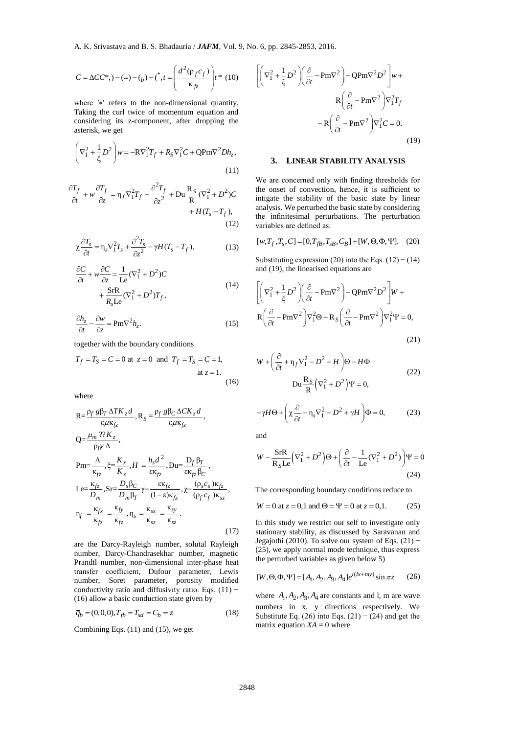$$
C = \Delta CC^*, -(-) - (b) - {^*, t = \left(\frac{d^2(\rho_f c_f)}{\kappa_{fc}}\right)} t^* \tag{10}
$$

where ′∗′ refers to the non-dimensional quantity. Taking the curl twice of momentum equation and considering its z-component, after dropping the asterisk, we get

$$
\left(\nabla_1^2 + \frac{1}{\xi}D^2\right)w = -RV_1^2T_f + R_S\nabla_1^2C + QPm\nabla^2Dh_z,
$$
\n(11)

$$
\frac{\partial T_f}{\partial t} + w \frac{\partial T_f}{\partial z} = \eta_f \nabla_1^2 T_f + \frac{\partial^2 T_f}{\partial z^2} + Du \frac{R_S}{R} (\nabla_1^2 + D^2) C + H(T_s - T_f),
$$
\n(12)

$$
\chi \frac{\partial T_s}{\partial t} = \eta_s \nabla_1^2 T_s + \frac{\partial^2 T_s}{\partial z^2} - \gamma H (T_s - T_f), \tag{13}
$$

$$
\frac{\partial C}{\partial t} + w \frac{\partial C}{\partial z} = \frac{1}{\text{Le}} (\nabla_1^2 + D^2) C \n+ \frac{\text{SrR}}{R_s \text{Le}} (\nabla_1^2 + D^2) T_f,
$$
\n(14)

$$
\frac{\partial h_z}{\partial t} - \frac{\partial w}{\partial z} = \text{Pm} \nabla^2 h_z.
$$
 (15)

together with the boundary conditions

$$
T_f = T_S = C = 0
$$
 at  $z = 0$  and  $T_f = T_S = C = 1$ ,  
at  $z = 1$ . (16)

where

$$
C = \Delta CC^*, - (z) - (z) - (z) - (z) = (z) - (z) + (z) = \left(\frac{d^2(\rho_f c_f)}{\kappa_{fc}}\right)r^*
$$
 (10)  
\nwhere 'x' refers to the non-dimensional quantity.  
\nTaking the curl twice of momentum equation and  
\nconsidering its z-component, after dropping the  
\nsetsisk, we get  
\n
$$
\left(\nabla_1^2 + \frac{1}{\xi}D^2\right)w = -RV_1^2T_f + R_S\nabla_1^2C + QPm\nabla^2Dh_z,
$$
(11)  
\n
$$
\int_{\tau}^{\tau} + w \frac{\partial T_f}{\partial z} = \eta_f \nabla_1^2T_f + \frac{\partial^2 T_f}{\partial z^2} + D\mathbf{u} \frac{R_S}{R}(\nabla_1^2 + D^2)C + H(T_s - T_f),
$$
(12)  
\n
$$
\frac{\partial T_s}{\partial t} = \eta_s \nabla_1^2T_s + \frac{\partial^2 T_s}{\partial z^2} - \gamma H(T_s - T_f),
$$
(13)  
\n
$$
\frac{\partial C}{\partial t} + w \frac{\partial C}{\partial z} = \frac{1}{Le}(\nabla_1^2 + D^2)C
$$
(14)  
\n
$$
+ \frac{SrR}{R_sLe}(\nabla_1^2 + D^2)T_f,
$$
(15)  
\n
$$
\frac{\partial h_z}{\partial t} - \frac{\partial w}{\partial z} = Pm\nabla^2h_z.
$$
(15)  
\n
$$
\text{cogether with the boundary conditions}
$$
  
\n
$$
T_f = T_S = C = 0 \text{ at } z = 0 \text{ and } T_f = T_S = C = 1,
$$
  
\nat z = 1.  
\n
$$
\text{cusp}
$$
  
\n
$$
Q = \frac{\mu_m \gamma R_s}{\kappa_f}, \xi = \frac{K_x}{K_z}, H = \frac{h_s d^2}{\kappa_{fc}}, D\mathbf{u} = \frac{D_f \beta_T}{\kappa_{fc}},
$$
  
\n
$$
Q = \frac{\mu_m \gamma R_s}{P_m}, \xi = \frac{K_x}{K_z}, H = \frac{h_s d^2}{\kappa_{fc}}, D\mathbf{u} = \frac{D_f \beta_T}{\kappa_{fc}},
$$
  
\n

are the Darcy-Rayleigh number, solutal Rayleigh number, Darcy-Chandrasekhar number, magnetic Prandtl number, non-dimensional inter-phase heat transfer coefficient, Dufour parameter, Lewis number, Soret parameter, porosity modified conductivity ratio and diffusivity ratio. Eqs. (11)  $-$ (16) allow a basic conduction state given by

$$
\overline{q}_b = (0,0,0), T_{fb} = T_{sd} = C_b = z \tag{18}
$$

Combining Eqs. (11) and (15), we get

$$
\left[ \left( \nabla_1^2 + \frac{1}{\xi} D^2 \right) \left( \frac{\partial}{\partial t} - P m \nabla^2 \right) - Q P m \nabla^2 D^2 \right] w +
$$
  
\n
$$
R \left( \frac{\partial}{\partial t} - P m \nabla^2 \right) \nabla_1^2 T_f
$$
  
\n
$$
- R \left( \frac{\partial}{\partial t} - P m \nabla^2 \right) \nabla_1^2 C = 0.
$$
\n(19)

#### **3. LINEAR STABILITY ANALYSIS**

We are concerned only with finding thresholds for the onset of convection, hence, it is sufficient to intigate the stability of the basic state by linear analysis. We perturbed the basic state by considering the infinitesimal perturbations. The perturbation variables are defined as:

$$
[w, T_f, T_s, C] = [0, T_{fB}, T_{sB}, C_B] + [W, \Theta, \Phi, \Psi].
$$
 (20)

Substituting expression (20) into the Eqs.  $(12) - (14)$ and (19), the linearised equations are

$$
\left[ \left( \nabla_1^2 + \frac{1}{\xi} D^2 \right) \left( \frac{\partial}{\partial t} - P m \nabla^2 \right) - Q P m \nabla^2 D^2 \right] W +
$$
  
\n
$$
R \left( \frac{\partial}{\partial t} - P m \nabla^2 \right) \nabla_1^2 \Theta - R_S \left( \frac{\partial}{\partial t} - P m \nabla^2 \right) \nabla_1^2 \Psi = 0,
$$
\n(21)

$$
W + \left(\frac{\partial}{\partial t} + \eta_f \nabla_1^2 - D^2 + H\right) \Theta - H\Phi
$$
  
Du  $\frac{R_S}{R} \left(\nabla_1^2 + D^2\right) \Psi = 0,$  (22)

$$
-\gamma H \Theta + \left(\chi \frac{\partial}{\partial t} - \eta_s \nabla_1^2 - D^2 + \gamma H\right) \Phi = 0, \tag{23}
$$

and

$$
W - \frac{\text{SrR}}{\text{R}_S \text{Le}} \left( \nabla_1^2 + D^2 \right) \Theta + \left( \frac{\partial}{\partial t} - \frac{1}{\text{Le}} (\nabla_1^2 + D^2) \right) \Psi = 0
$$
\n(24)

The corresponding boundary conditions reduce to

 $W = 0$  at  $z = 0,1$  and  $\Theta = \Psi = 0$  at  $z = 0,1$ . (25)

In this study we restrict our self to investigate only stationary stability, as discussed by Saravanan and Jegajothi (2010). To solve our system of Eqs.  $(21)$  – (25), we apply normal mode technique, thus express the perturbed variables as given below 5)

$$
[W, \Theta, \Phi, \Psi] = [A_1, A_2, A_3, A_4]e^{i(lx + my)} \sin \pi z \qquad (26)
$$

where  $A_1$ ,  $A_2$ ,  $A_3$ ,  $A_4$  are constants and l, m are wave numbers in x, y directions respectively. We Substitute Eq. (26) into Eqs.  $(21) - (24)$  and get the matrix equation  $XA = 0$  where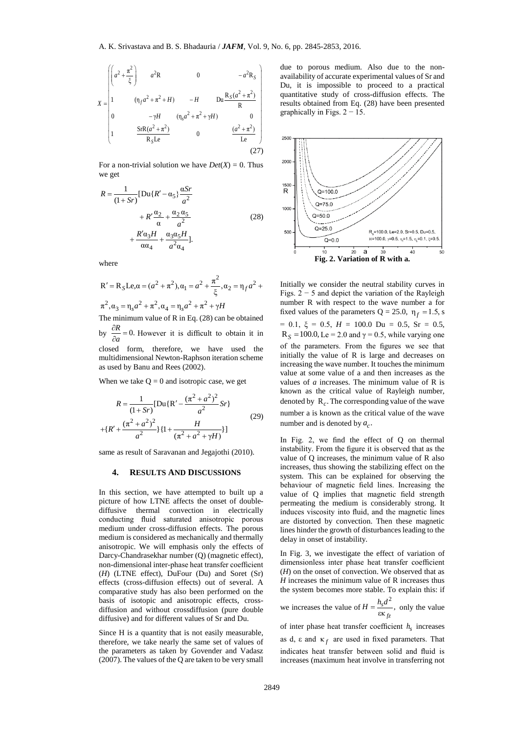$$
X = \begin{pmatrix} a^{2} + \frac{\pi^{2}}{\xi} & a^{2}R & 0 & -a^{2}R_{S} \\ 1 & (\eta_{f}a^{2} + \pi^{2} + H) & -H & Du \frac{R_{S}(a^{2} + \pi^{2})}{R} \\ 0 & -\gamma H & (\eta_{s}a^{2} + \pi^{2} + \gamma H) & 0 \\ 1 & \frac{SrR(a^{2} + \pi^{2})}{R_{S}Le} & 0 & \frac{(a^{2} + \pi^{2})}{Le} \end{pmatrix}
$$
(27)

For a non-trivial solution we have  $Det(X) = 0$ . Thus we get

$$
R = \frac{1}{(1+Sr)}[\text{Du}\lbrace R' - \alpha_5 \rbrace \frac{\alpha Sr}{a^2} + R' \frac{\alpha_2}{\alpha} + \frac{\alpha_2 \alpha_5}{a^2} + \frac{R' \alpha_3 H}{\alpha \alpha_4} + \frac{\alpha_3 \alpha_5 H}{a^2 \alpha_4}].
$$
 (28)

where

$$
R' = R_S Le, \alpha = (\alpha^2 + \pi^2), \alpha_1 = \alpha^2 + \frac{\pi^2}{\xi}, \alpha_2 = \eta_f \alpha^2 + \pi^2, \alpha_3 = \eta_s \alpha^2 + \pi^2, \alpha_4 = \eta_s \alpha^2 + \pi^2 + \gamma H
$$

The minimum value of R in Eq. (28) can be obtained by  $\frac{\partial R}{\partial a} = 0$ .  $\frac{\partial R}{\partial a} = 0$ . However it is difficult to obtain it in

closed form, therefore, we have used the multidimensional Newton-Raphson iteration scheme

as used by Banu and Rees (2002).

When we take  $Q = 0$  and isotropic case, we get

$$
R = \frac{1}{(1+Sr)}[\text{Du}\{\text{R}' - \frac{(\pi^2 + a^2)^2}{a^2}Sr\} + \{R' + \frac{(\pi^2 + a^2)^2}{a^2}\}\{1 + \frac{H}{(\pi^2 + a^2 + \gamma H)}\}]
$$
(29)

same as result of Saravanan and Jegajothi (2010).

#### **4. RESULTS AND DISCUSSIONS**

In this section, we have attempted to built up a picture of how LTNE affects the onset of doublediffusive thermal convection in electrically conducting fluid saturated anisotropic porous medium under cross-diffusion effects. The porous medium is considered as mechanically and thermally anisotropic. We will emphasis only the effects of Darcy-Chandrasekhar number (Q) (magnetic effect), non-dimensional inter-phase heat transfer coefficient (*H*) (LTNE effect), DuFour (Du) and Soret (Sr) effects (cross-diffusion effects) out of several. A comparative study has also been performed on the basis of isotopic and anisotropic effects, crossdiffusion and without crossdiffusion (pure double diffusive) and for different values of Sr and Du.

Since H is a quantity that is not easily measurable, therefore, we take nearly the same set of values of the parameters as taken by Govender and Vadasz (2007). The values of the Q are taken to be very small

due to porous medium. Also due to the nonavailability of accurate experimental values of Sr and Du, it is impossible to proceed to a practical quantitative study of cross-diffusion effects. The results obtained from Eq. (28) have been presented graphically in Figs.  $2 - 15$ .



Initially we consider the neutral stability curves in Figs.  $2 - 5$  and depict the variation of the Rayleigh number R with respect to the wave number a for fixed values of the parameters  $Q = 25.0$ ,  $\eta_f = 1.5$ , *s*  $= 0.1, \xi = 0.5, H = 100.0 \text{ Du} = 0.5, \text{ Sr} = 0.5,$  $R_S = 100.0$ , Le = 2.0 and  $\gamma = 0.5$ , while varying one of the parameters. From the figures we see that initially the value of R is large and decreases on increasing the wave number. It touches the minimum value at some value of a and then increases as the values of *a* increases. The minimum value of R is known as the critical value of Rayleigh number, denoted by  $R_c$ . The corresponding value of the wave number a is known as the critical value of the wave number and is denoted by  $a_c$ .

In Fig. 2, we find the effect of Q on thermal instability. From the figure it is observed that as the value of Q increases, the minimum value of R also increases, thus showing the stabilizing effect on the system. This can be explained for observing the behaviour of magnetic field lines. Increasing the value of Q implies that magnetic field strength permeating the medium is considerably strong. It induces viscosity into fluid, and the magnetic lines are distorted by convection. Then these magnetic lines hinder the growth of disturbances leading to the delay in onset of instability.

In Fig. 3, we investigate the effect of variation of dimensionless inter phase heat transfer coefficient (*H*) on the onset of convection. We observed that as *H* increases the minimum value of R increases thus the system becomes more stable. To explain this: if

we increases the value of 
$$
H = \frac{h_s d^2}{\varepsilon \kappa_{fz}}
$$
, only the value

of inter phase heat transfer coefficient  $h<sub>s</sub>$  increases as d,  $\varepsilon$  and  $\kappa_f$  are used in fixed parameters. That indicates heat transfer between solid and fluid is increases (maximum heat involve in transferring not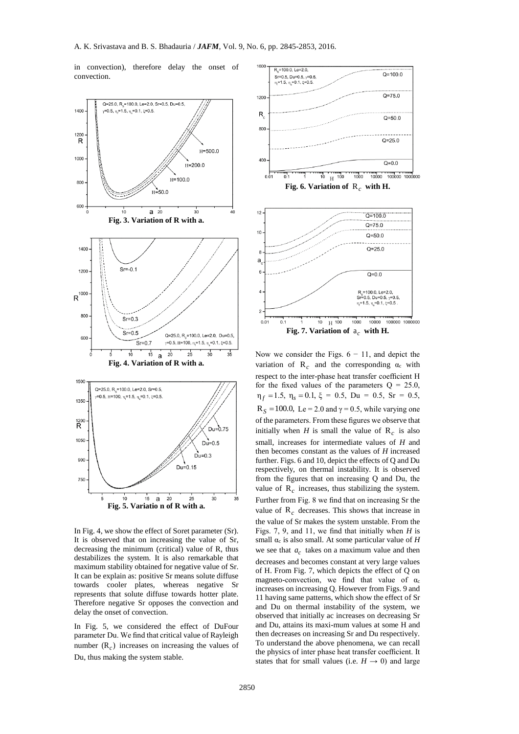in convection), therefore delay the onset of convection.



In Fig. 4, we show the effect of Soret parameter (Sr). It is observed that on increasing the value of Sr, decreasing the minimum (critical) value of R, thus destabilizes the system. It is also remarkable that maximum stability obtained for negative value of Sr. It can be explain as: positive Sr means solute diffuse towards cooler plates, whereas negative Sr represents that solute diffuse towards hotter plate. Therefore negative Sr opposes the convection and delay the onset of convection.

In Fig. 5, we considered the effect of DuFour parameter Du. We find that critical value of Rayleigh number  $(R<sub>c</sub>)$  increases on increasing the values of Du, thus making the system stable.



Now we consider the Figs.  $6 - 11$ , and depict the variation of  $\mathbf{R}_c$  and the corresponding  $\alpha_c$  with respect to the inter-phase heat transfer coefficient H for the fixed values of the parameters  $Q = 25.0$ ,  $\eta_f = 1.5$ ,  $\eta_s = 0.1$ ,  $\xi = 0.5$ ,  $Du = 0.5$ ,  $Sr = 0.5$ ,  $R_S = 100.0$ , Le = 2.0 and  $\gamma = 0.5$ , while varying one of the parameters. From these figures we observe that initially when *H* is small the value of  $R_c$  is also small, increases for intermediate values of *H* and then becomes constant as the values of *H* increased further. Figs. 6 and 10, depict the effects of Q and Du respectively, on thermal instability. It is observed from the figures that on increasing Q and Du, the value of  $\mathbf{R}_c$  increases, thus stabilizing the system. Further from Fig. 8 we find that on increasing Sr the value of  $R_c$  decreases. This shows that increase in the value of Sr makes the system unstable. From the Figs. 7, 9, and 11, we find that initially when *H* is small  $\alpha_c$  is also small. At some particular value of  $H$ we see that  $a_c$  takes on a maximum value and then decreases and becomes constant at very large values of H. From Fig. 7, which depicts the effect of Q on magneto-convection, we find that value of  $\alpha$ increases on increasing Q. However from Figs. 9 and 11 having same patterns, which show the effect of Sr and Du on thermal instability of the system, we observed that initially ac increases on decreasing Sr and Du, attains its maxi-mum values at some H and then decreases on increasing Sr and Du respectively. To understand the above phenomena, we can recall the physics of inter phase heat transfer coefficient. It states that for small values (i.e.  $H \rightarrow 0$ ) and large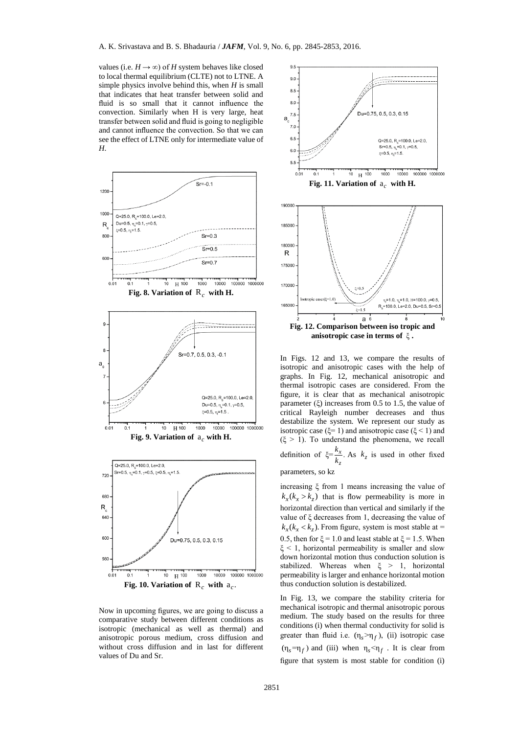values (i.e.  $H \rightarrow \infty$ ) of *H* system behaves like closed to local thermal equilibrium (CLTE) not to LTNE. A simple physics involve behind this, when *H* is small that indicates that heat transfer between solid and fluid is so small that it cannot influence the convection. Similarly when H is very large, heat transfer between solid and fluid is going to negligible and cannot influence the convection. So that we can see the effect of LTNE only for intermediate value of *H*.



**Fig. 10. Variation of**  $R_c$  with  $a_c$ .

Now in upcoming figures, we are going to discuss a comparative study between different conditions as isotropic (mechanical as well as thermal) and anisotropic porous medium, cross diffusion and without cross diffusion and in last for different values of Du and Sr.



In Figs. 12 and 13, we compare the results of isotropic and anisotropic cases with the help of graphs. In Fig. 12, mechanical anisotropic and thermal isotropic cases are considered. From the figure, it is clear that as mechanical anisotropic parameter  $(\xi)$  increases from 0.5 to 1.5, the value of critical Rayleigh number decreases and thus destabilize the system. We represent our study as isotropic case ( $\xi$ = 1) and anisotropic case ( $\xi$  < 1) and  $(\xi > 1)$ . To understand the phenomena, we recall definition of  $\xi = \frac{k_x}{l}$ . *k*  $\frac{k_x}{k_z}$ . As  $k_z$  is used in other fixed

*z*

#### parameters, so kz

increasing ξ from 1 means increasing the value of  $k_x(k_x > k_z)$  that is flow permeability is more in horizontal direction than vertical and similarly if the value of ξ decreases from 1, decreasing the value of  $k_x(k_x < k_z)$ . From figure, system is most stable at = 0.5, then for  $\xi = 1.0$  and least stable at  $\xi = 1.5$ . When  $\xi$  < 1, horizontal permeability is smaller and slow down horizontal motion thus conduction solution is stabilized. Whereas when ξ > 1, horizontal permeability is larger and enhance horizontal motion thus conduction solution is destabilized.

In Fig. 13, we compare the stability criteria for mechanical isotropic and thermal anisotropic porous medium. The study based on the results for three conditions (i) when thermal conductivity for solid is greater than fluid i.e.  $(\eta_s > \eta_f)$ , *(ii)* isotropic case  $(\eta_s = \eta_f)$  and (iii) when  $\eta_s < \eta_f$ . It is clear from figure that system is most stable for condition (i)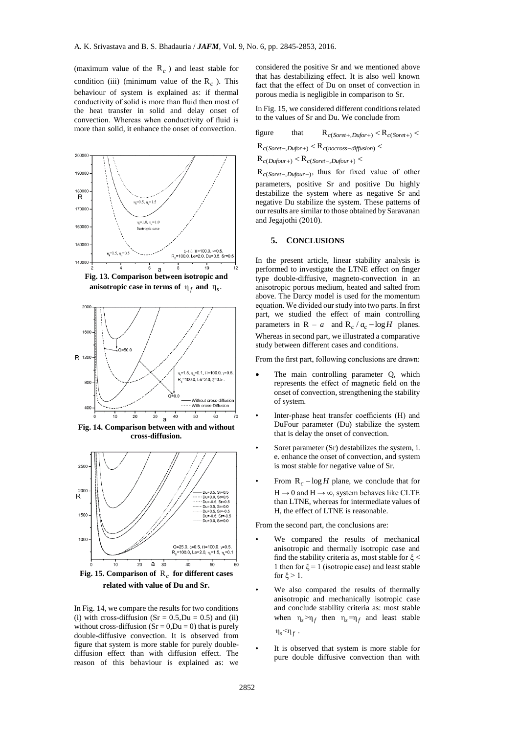(maximum value of the  $R_c$ ) and least stable for condition (iii) (minimum value of the  $\mathbf{R}_c$ ). This behaviour of system is explained as: if thermal conductivity of solid is more than fluid then most of the heat transfer in solid and delay onset of convection. Whereas when conductivity of fluid is more than solid, it enhance the onset of convection.



**Fig. 15. Comparison of**  R*c* **for different cases related with value of Du and Sr.**

In Fig. 14, we compare the results for two conditions (i) with cross-diffusion  $(Sr = 0.5, Du = 0.5)$  and (ii) without cross-diffusion  $(Sr = 0,Du = 0)$  that is purely double-diffusive convection. It is observed from figure that system is more stable for purely doublediffusion effect than with diffusion effect. The reason of this behaviour is explained as: we

considered the positive Sr and we mentioned above that has destabilizing effect. It is also well known fact that the effect of Du on onset of convection in porous media is negligible in comparison to Sr.

In Fig. 15, we considered different conditions related to the values of Sr and Du. We conclude from

figure that 
$$
R_{c(Soret+,Dufor+)} < R_{c(Soret+)} < R_{c(Soret+)}
$$
  $\langle R_{c(Soret-,Dufor+)} < R_{c(nocross-diffusion)} < R_{c(Dufour+)} < R_{c(Soret-,Dufour+)} <$ 

$$
\mathbf{R}_{c(Soret-,Dufor+)} < \mathbf{R}_{c(nocross-diffusion)}
$$

$$
R_{c(Dufour+)} < R_{c(Soret-,Dufour+)} <
$$

 $R_{c(Soret-,Dufour-)}$ , thus for fixed value of other parameters, positive Sr and positive Du highly destabilize the system where as negative Sr and negative Du stabilize the system. These patterns of our results are similar to those obtained by Saravanan and Jegajothi (2010).

#### **5. CONCLUSIONS**

In the present article, linear stability analysis is performed to investigate the LTNE effect on finger type double-diffusive, magneto-convection in an anisotropic porous medium, heated and salted from above. The Darcy model is used for the momentum equation. We divided our study into two parts. In first part, we studied the effect of main controlling parameters in  $R - a$  and  $R_c / a_c - \log H$  planes. Whereas in second part, we illustrated a comparative study between different cases and conditions.

From the first part, following conclusions are drawn:

- The main controlling parameter Q, which represents the effect of magnetic field on the onset of convection, strengthening the stability of system.
- Inter-phase heat transfer coefficients (H) and DuFour parameter (Du) stabilize the system that is delay the onset of convection.
- Soret parameter (Sr) destabilizes the system, i. e. enhance the onset of convection, and system is most stable for negative value of Sr.
- From  $R_c log H$  plane, we conclude that for  $H \rightarrow 0$  and  $H \rightarrow \infty$ , system behaves like CLTE than LTNE, whereas for intermediate values of H, the effect of LTNE is reasonable.

From the second part, the conclusions are:

- We compared the results of mechanical anisotropic and thermally isotropic case and find the stability criteria as, most stable for  $\xi$  < 1 then for  $\xi = 1$  (isotropic case) and least stable for  $\xi > 1$ .
- We also compared the results of thermally anisotropic and mechanically isotropic case and conclude stability criteria as: most stable when  $\eta_s > \eta_f$  then  $\eta_s = \eta_f$  and least stable  $η_s < η_f$ .
- It is observed that system is more stable for pure double diffusive convection than with